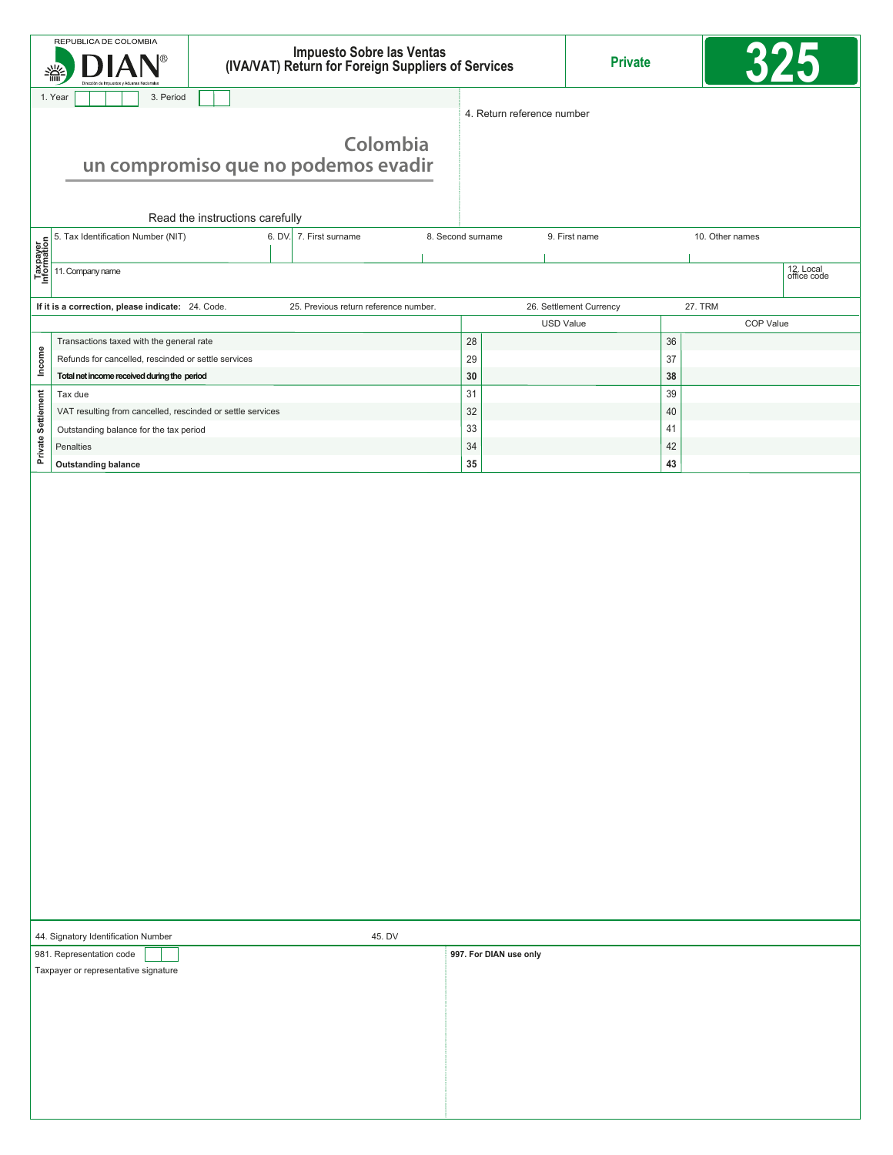|                                                                                                                                         | REPUBLICA DE COLOMBIA<br>翡                                            | Impuesto Sobre las Ventas<br>(IVA/VAT) Return for Foreign Suppliers of Services |                                  | <b>Private</b>             |                          |  |
|-----------------------------------------------------------------------------------------------------------------------------------------|-----------------------------------------------------------------------|---------------------------------------------------------------------------------|----------------------------------|----------------------------|--------------------------|--|
| 1. Year<br>3. Period                                                                                                                    |                                                                       |                                                                                 |                                  |                            |                          |  |
| Colombia<br>un compromiso que no podemos evadir<br>Read the instructions carefully                                                      |                                                                       |                                                                                 |                                  | 4. Return reference number |                          |  |
|                                                                                                                                         | 5. Tax Identification Number (NIT)                                    | 8. Second surname                                                               | 9. First name<br>10. Other names |                            |                          |  |
| <b>b</b> 5. Tax Identificatio<br><b>A</b> B Tax Identification<br><b>A</b> B Tax II. Company name<br><b>P</b> E Tax II. Company name    |                                                                       |                                                                                 |                                  |                            |                          |  |
|                                                                                                                                         |                                                                       |                                                                                 |                                  |                            | 12. Local<br>office code |  |
| 26. Settlement Currency<br><b>27. TRM</b><br>If it is a correction, please indicate: 24. Code.<br>25. Previous return reference number. |                                                                       |                                                                                 |                                  |                            |                          |  |
|                                                                                                                                         |                                                                       |                                                                                 |                                  | <b>USD Value</b>           | COP Value                |  |
|                                                                                                                                         | Transactions taxed with the general rate                              |                                                                                 | 28                               | 36                         |                          |  |
| Income                                                                                                                                  | Refunds for cancelled, rescinded or settle services                   |                                                                                 | 29                               | 37                         |                          |  |
|                                                                                                                                         | Total net income received during the period                           |                                                                                 | 30                               | 38<br>39                   |                          |  |
|                                                                                                                                         | Tax due<br>VAT resulting from cancelled, rescinded or settle services |                                                                                 | 31<br>32                         | 40                         |                          |  |
|                                                                                                                                         | Outstanding balance for the tax period                                |                                                                                 | 33                               | 41                         |                          |  |
| Private Settlement                                                                                                                      | Penalties                                                             |                                                                                 | 34                               | 42                         |                          |  |
|                                                                                                                                         | <b>Outstanding balance</b>                                            |                                                                                 | 35                               | 43                         |                          |  |
|                                                                                                                                         |                                                                       |                                                                                 |                                  |                            |                          |  |
| 44. Signatory Identification Number<br>45. DV<br>981. Representation code                                                               |                                                                       |                                                                                 |                                  |                            |                          |  |
|                                                                                                                                         | Taxpayer or representative signature                                  |                                                                                 | 997. For DIAN use only           |                            |                          |  |